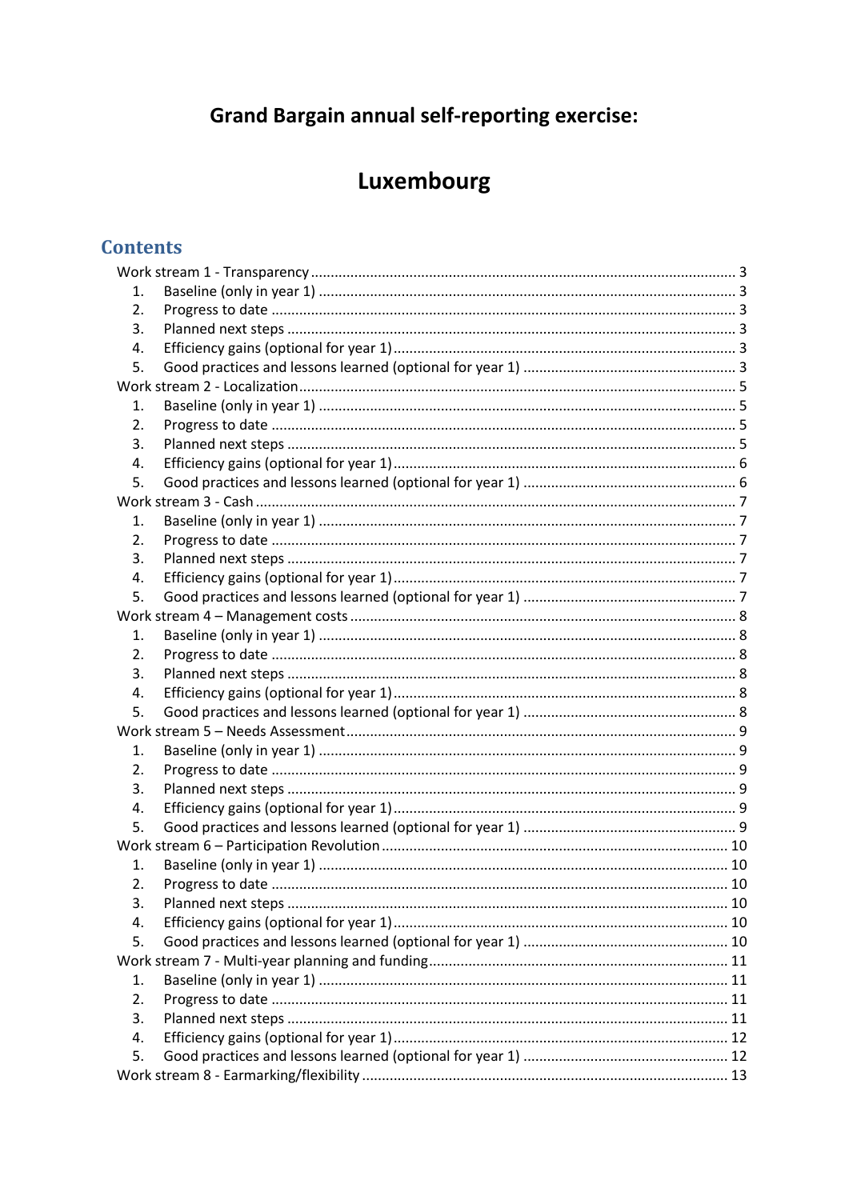# **Grand Bargain annual self-reporting exercise:**

# Luxembourg

# **Contents**

| 1.               |  |  |  |
|------------------|--|--|--|
| 2.               |  |  |  |
| 3.               |  |  |  |
| 4.               |  |  |  |
| 5.               |  |  |  |
|                  |  |  |  |
| 1.               |  |  |  |
| $\overline{2}$ . |  |  |  |
| 3.               |  |  |  |
| 4.               |  |  |  |
| 5.               |  |  |  |
|                  |  |  |  |
| 1.               |  |  |  |
| 2.               |  |  |  |
| 3.               |  |  |  |
| 4.               |  |  |  |
| 5.               |  |  |  |
|                  |  |  |  |
| 1.               |  |  |  |
| 2.               |  |  |  |
| 3.               |  |  |  |
| 4.               |  |  |  |
| 5.               |  |  |  |
|                  |  |  |  |
| 1.               |  |  |  |
| 2.               |  |  |  |
| 3.               |  |  |  |
| 4.               |  |  |  |
| 5.               |  |  |  |
|                  |  |  |  |
| 1.               |  |  |  |
| 2.               |  |  |  |
| 3.               |  |  |  |
| 4.               |  |  |  |
| 5.               |  |  |  |
|                  |  |  |  |
| 1.               |  |  |  |
| 2.               |  |  |  |
| 3.               |  |  |  |
| 4.               |  |  |  |
| 5.               |  |  |  |
|                  |  |  |  |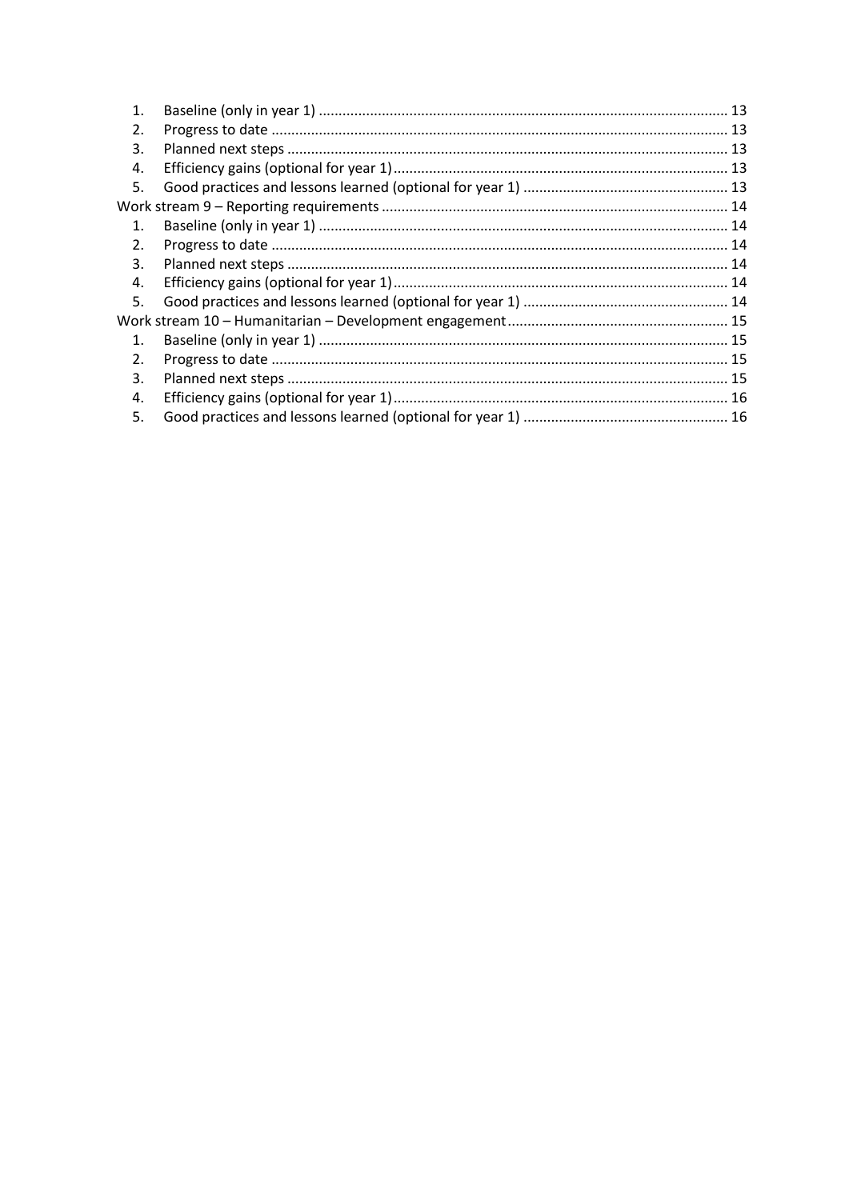| 1.             |  |
|----------------|--|
| 2.             |  |
| 3.             |  |
| 4.             |  |
| 5.             |  |
|                |  |
| $\mathbf{1}$ . |  |
| 2.             |  |
| 3.             |  |
| 4.             |  |
| 5.             |  |
|                |  |
| $\mathbf{1}$ . |  |
| 2.             |  |
| 3.             |  |
| 4.             |  |
| 5.             |  |
|                |  |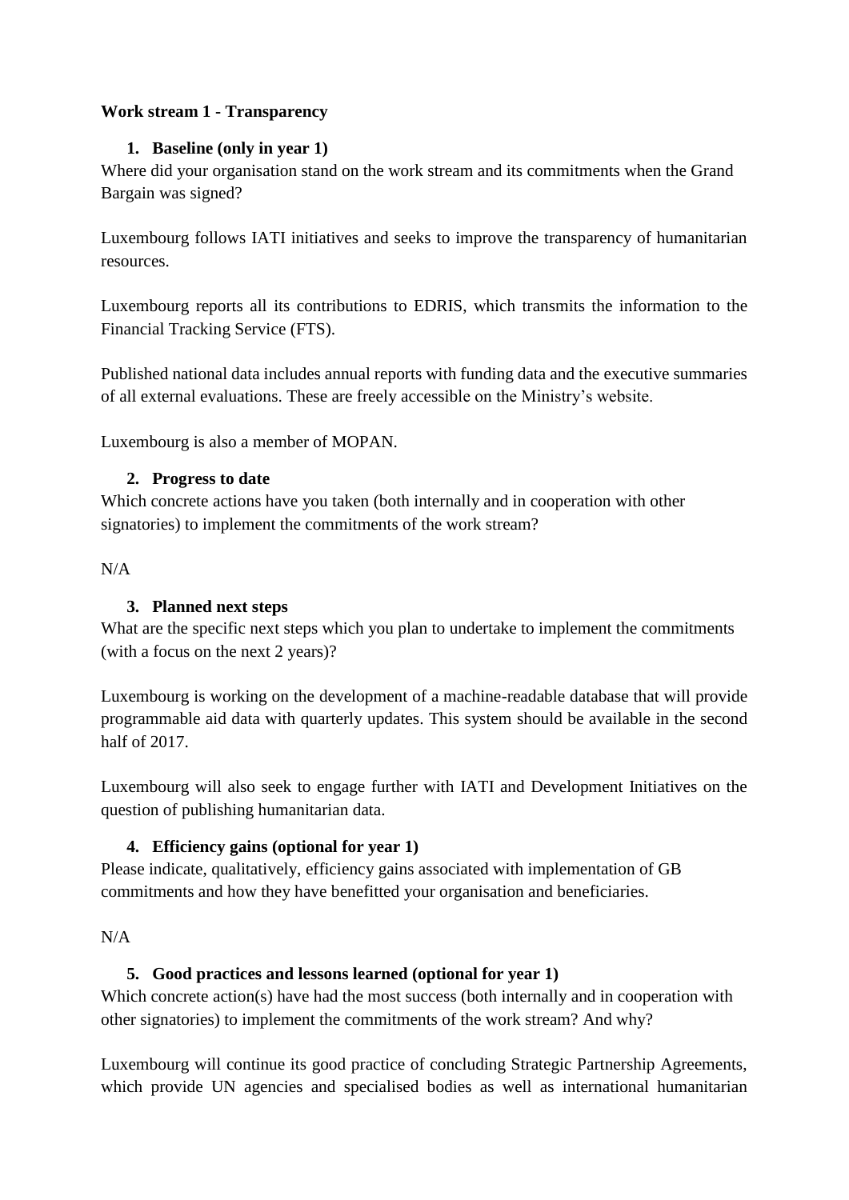## <span id="page-2-1"></span><span id="page-2-0"></span>**Work stream 1 - Transparency**

#### **1. Baseline (only in year 1)**

Where did your organisation stand on the work stream and its commitments when the Grand Bargain was signed?

Luxembourg follows IATI initiatives and seeks to improve the transparency of humanitarian resources.

Luxembourg reports all its contributions to EDRIS, which transmits the information to the Financial Tracking Service (FTS).

Published national data includes annual reports with funding data and the executive summaries of all external evaluations. These are freely accessible on the Ministry's website.

<span id="page-2-2"></span>Luxembourg is also a member of MOPAN.

#### **2. Progress to date**

Which concrete actions have you taken (both internally and in cooperation with other signatories) to implement the commitments of the work stream?

<span id="page-2-3"></span> $N/A$ 

# **3. Planned next steps**

What are the specific next steps which you plan to undertake to implement the commitments (with a focus on the next 2 years)?

Luxembourg is working on the development of a machine-readable database that will provide programmable aid data with quarterly updates. This system should be available in the second half of 2017.

Luxembourg will also seek to engage further with IATI and Development Initiatives on the question of publishing humanitarian data.

# <span id="page-2-4"></span>**4. Efficiency gains (optional for year 1)**

Please indicate, qualitatively, efficiency gains associated with implementation of GB commitments and how they have benefitted your organisation and beneficiaries.

# <span id="page-2-5"></span> $N/A$

# **5. Good practices and lessons learned (optional for year 1)**

Which concrete action(s) have had the most success (both internally and in cooperation with other signatories) to implement the commitments of the work stream? And why?

Luxembourg will continue its good practice of concluding Strategic Partnership Agreements, which provide UN agencies and specialised bodies as well as international humanitarian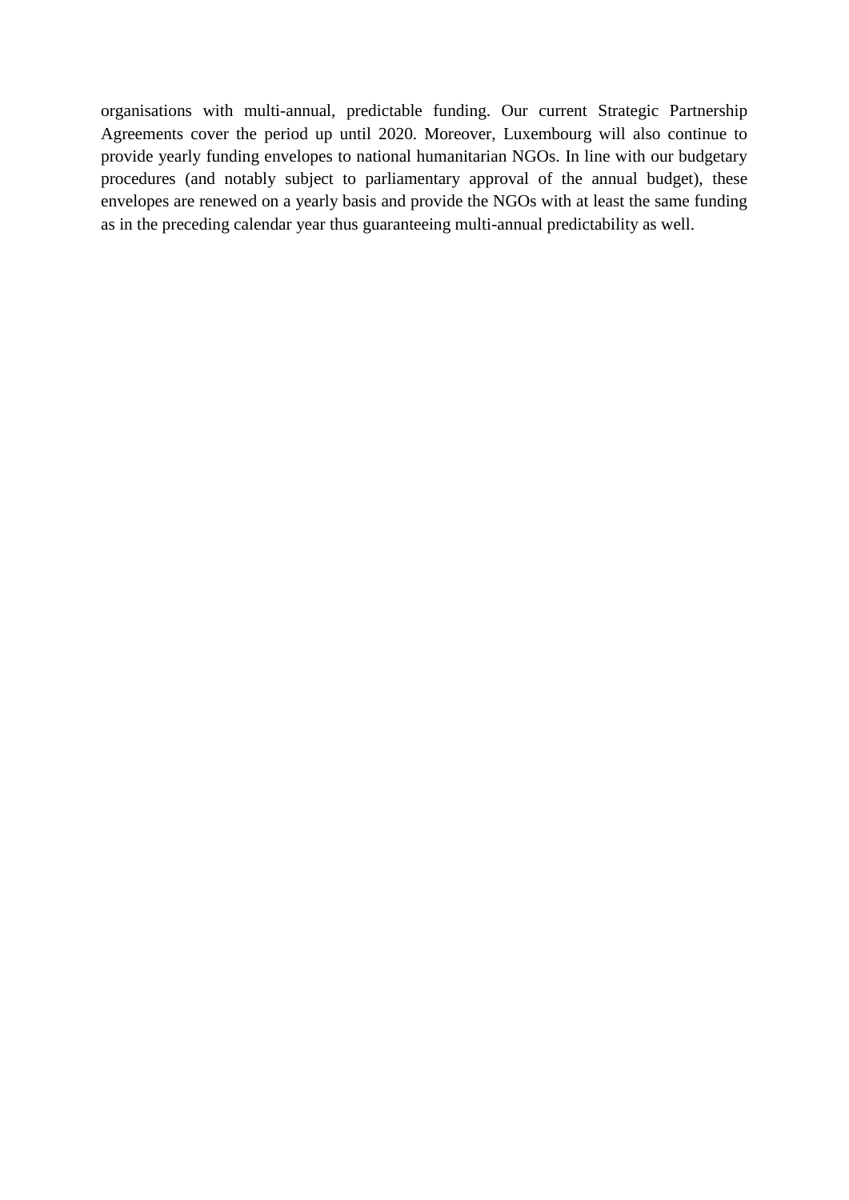organisations with multi-annual, predictable funding. Our current Strategic Partnership Agreements cover the period up until 2020. Moreover, Luxembourg will also continue to provide yearly funding envelopes to national humanitarian NGOs. In line with our budgetary procedures (and notably subject to parliamentary approval of the annual budget), these envelopes are renewed on a yearly basis and provide the NGOs with at least the same funding as in the preceding calendar year thus guaranteeing multi-annual predictability as well.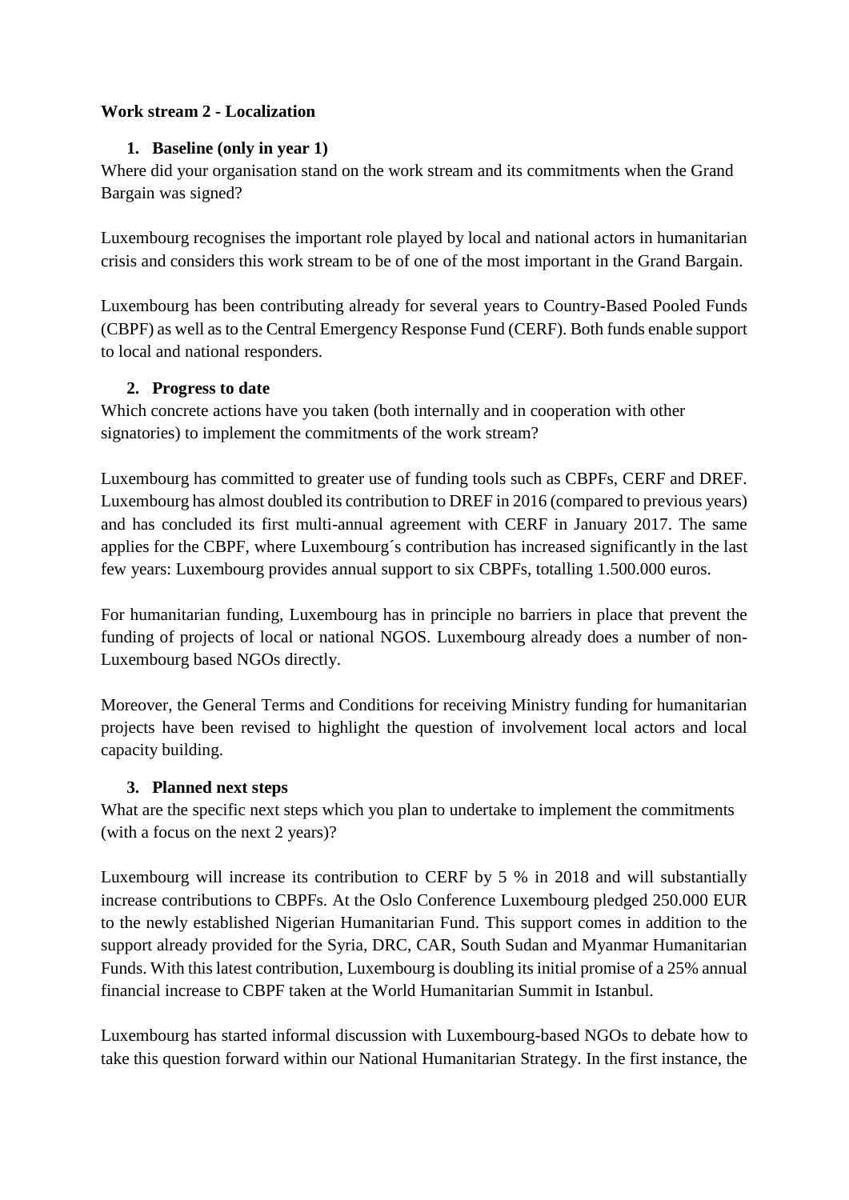#### <span id="page-4-1"></span><span id="page-4-0"></span>**Work stream 2 - Localization**

#### **1. Baseline (only in year 1)**

Where did your organisation stand on the work stream and its commitments when the Grand Bargain was signed?

Luxembourg recognises the important role played by local and national actors in humanitarian crisis and considers this work stream to be of one of the most important in the Grand Bargain.

Luxembourg has been contributing already for several years to Country-Based Pooled Funds (CBPF) as well as to the Central Emergency Response Fund (CERF). Both funds enable support to local and national responders.

#### <span id="page-4-2"></span>**2. Progress to date**

Which concrete actions have you taken (both internally and in cooperation with other signatories) to implement the commitments of the work stream?

Luxembourg has committed to greater use of funding tools such as CBPFs, CERF and DREF. Luxembourg has almost doubled its contribution to DREF in 2016 (compared to previous years) and has concluded its first multi-annual agreement with CERF in January 2017. The same applies for the CBPF, where Luxembourg´s contribution has increased significantly in the last few years: Luxembourg provides annual support to six CBPFs, totalling 1.500.000 euros.

For humanitarian funding, Luxembourg has in principle no barriers in place that prevent the funding of projects of local or national NGOS. Luxembourg already does a number of non-Luxembourg based NGOs directly.

Moreover, the General Terms and Conditions for receiving Ministry funding for humanitarian projects have been revised to highlight the question of involvement local actors and local capacity building.

# <span id="page-4-3"></span>**3. Planned next steps**

What are the specific next steps which you plan to undertake to implement the commitments (with a focus on the next 2 years)?

Luxembourg will increase its contribution to CERF by 5 % in 2018 and will substantially increase contributions to CBPFs. At the Oslo Conference Luxembourg pledged 250.000 EUR to the newly established Nigerian Humanitarian Fund. This support comes in addition to the support already provided for the Syria, DRC, CAR, South Sudan and Myanmar Humanitarian Funds. With this latest contribution, Luxembourg is doubling its initial promise of a 25% annual financial increase to CBPF taken at the World Humanitarian Summit in Istanbul.

Luxembourg has started informal discussion with Luxembourg-based NGOs to debate how to take this question forward within our National Humanitarian Strategy. In the first instance, the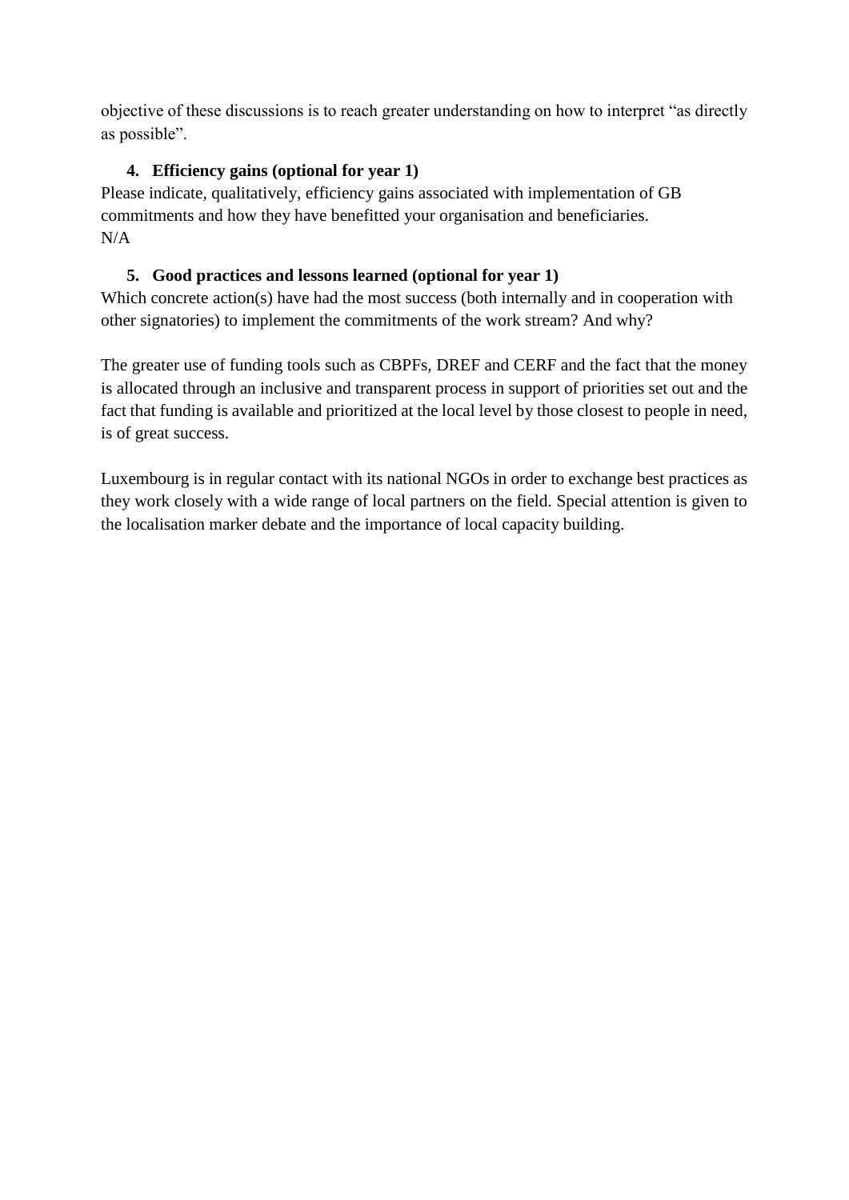objective of these discussions is to reach greater understanding on how to interpret "as directly as possible".

# <span id="page-5-0"></span>**4. Efficiency gains (optional for year 1)**

Please indicate, qualitatively, efficiency gains associated with implementation of GB commitments and how they have benefitted your organisation and beneficiaries. N/A

# <span id="page-5-1"></span>**5. Good practices and lessons learned (optional for year 1)**

Which concrete action(s) have had the most success (both internally and in cooperation with other signatories) to implement the commitments of the work stream? And why?

The greater use of funding tools such as CBPFs, DREF and CERF and the fact that the money is allocated through an inclusive and transparent process in support of priorities set out and the fact that funding is available and prioritized at the local level by those closest to people in need, is of great success.

Luxembourg is in regular contact with its national NGOs in order to exchange best practices as they work closely with a wide range of local partners on the field. Special attention is given to the localisation marker debate and the importance of local capacity building.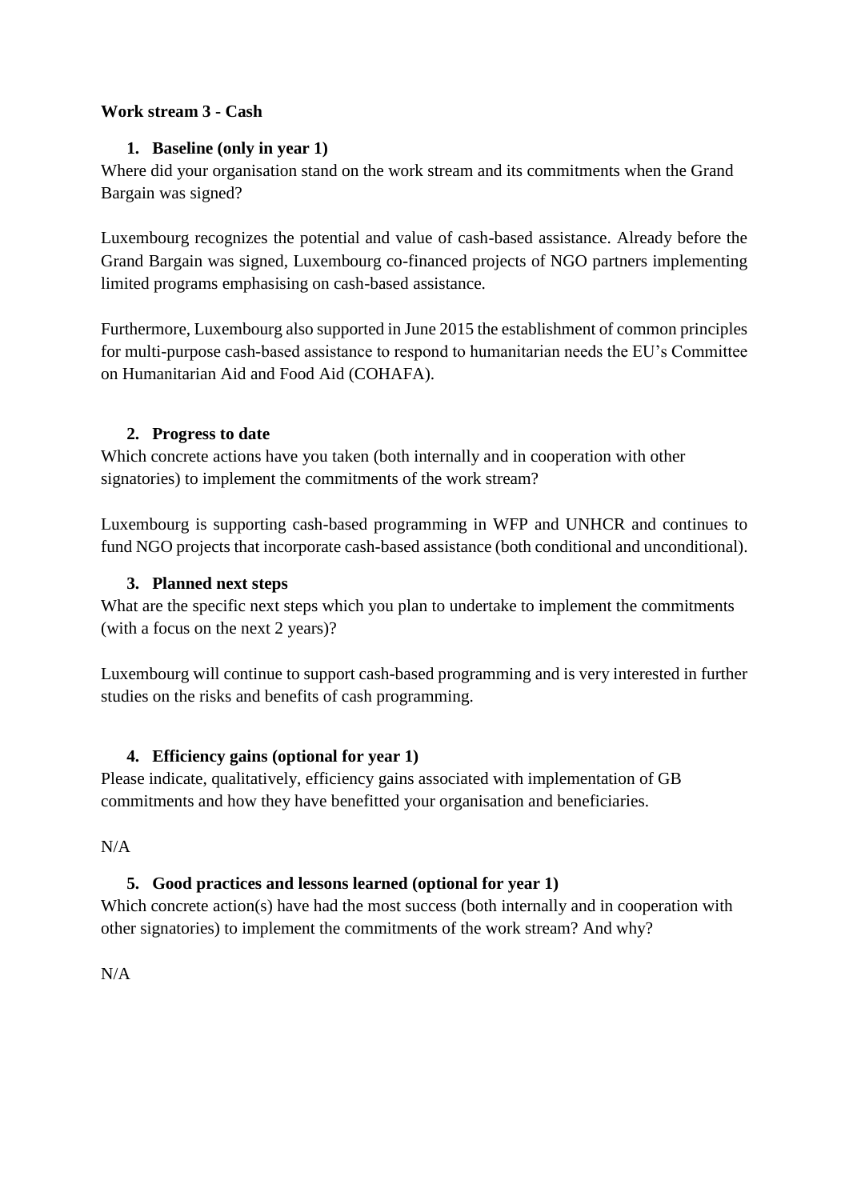#### <span id="page-6-1"></span><span id="page-6-0"></span>**Work stream 3 - Cash**

## **1. Baseline (only in year 1)**

Where did your organisation stand on the work stream and its commitments when the Grand Bargain was signed?

Luxembourg recognizes the potential and value of cash-based assistance. Already before the Grand Bargain was signed, Luxembourg co-financed projects of NGO partners implementing limited programs emphasising on cash-based assistance.

Furthermore, Luxembourg also supported in June 2015 the establishment of common principles for multi-purpose cash-based assistance to respond to humanitarian needs the EU's Committee on Humanitarian Aid and Food Aid (COHAFA).

#### <span id="page-6-2"></span>**2. Progress to date**

Which concrete actions have you taken (both internally and in cooperation with other signatories) to implement the commitments of the work stream?

Luxembourg is supporting cash-based programming in WFP and UNHCR and continues to fund NGO projects that incorporate cash-based assistance (both conditional and unconditional).

# <span id="page-6-3"></span>**3. Planned next steps**

What are the specific next steps which you plan to undertake to implement the commitments (with a focus on the next 2 years)?

Luxembourg will continue to support cash-based programming and is very interested in further studies on the risks and benefits of cash programming.

# <span id="page-6-4"></span>**4. Efficiency gains (optional for year 1)**

Please indicate, qualitatively, efficiency gains associated with implementation of GB commitments and how they have benefitted your organisation and beneficiaries.

<span id="page-6-5"></span>N/A

# **5. Good practices and lessons learned (optional for year 1)**

Which concrete action(s) have had the most success (both internally and in cooperation with other signatories) to implement the commitments of the work stream? And why?

N/A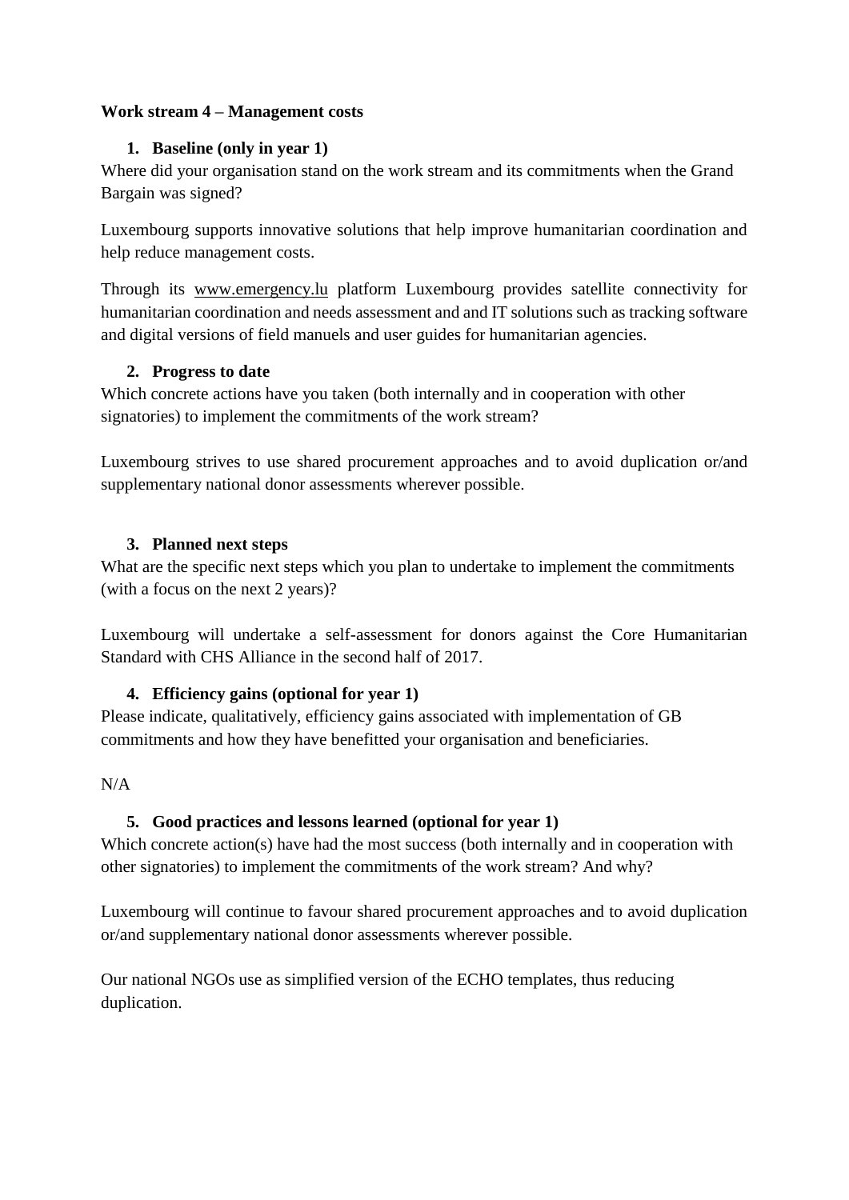#### <span id="page-7-1"></span><span id="page-7-0"></span>**Work stream 4 – Management costs**

## **1. Baseline (only in year 1)**

Where did your organisation stand on the work stream and its commitments when the Grand Bargain was signed?

<span id="page-7-2"></span>Luxembourg supports innovative solutions that help improve humanitarian coordination and help reduce management costs.

Through its [www.emergency.lu](http://www.emergency.lu/) platform Luxembourg provides satellite connectivity for humanitarian coordination and needs assessment and and IT solutions such as tracking software and digital versions of field manuels and user guides for humanitarian agencies.

# **2. Progress to date**

Which concrete actions have you taken (both internally and in cooperation with other signatories) to implement the commitments of the work stream?

Luxembourg strives to use shared procurement approaches and to avoid duplication or/and supplementary national donor assessments wherever possible.

#### <span id="page-7-3"></span>**3. Planned next steps**

What are the specific next steps which you plan to undertake to implement the commitments (with a focus on the next 2 years)?

Luxembourg will undertake a self-assessment for donors against the Core Humanitarian Standard with CHS Alliance in the second half of 2017.

# <span id="page-7-4"></span>**4. Efficiency gains (optional for year 1)**

Please indicate, qualitatively, efficiency gains associated with implementation of GB commitments and how they have benefitted your organisation and beneficiaries.

#### <span id="page-7-5"></span>N/A

# **5. Good practices and lessons learned (optional for year 1)**

Which concrete action(s) have had the most success (both internally and in cooperation with other signatories) to implement the commitments of the work stream? And why?

Luxembourg will continue to favour shared procurement approaches and to avoid duplication or/and supplementary national donor assessments wherever possible.

Our national NGOs use as simplified version of the ECHO templates, thus reducing duplication.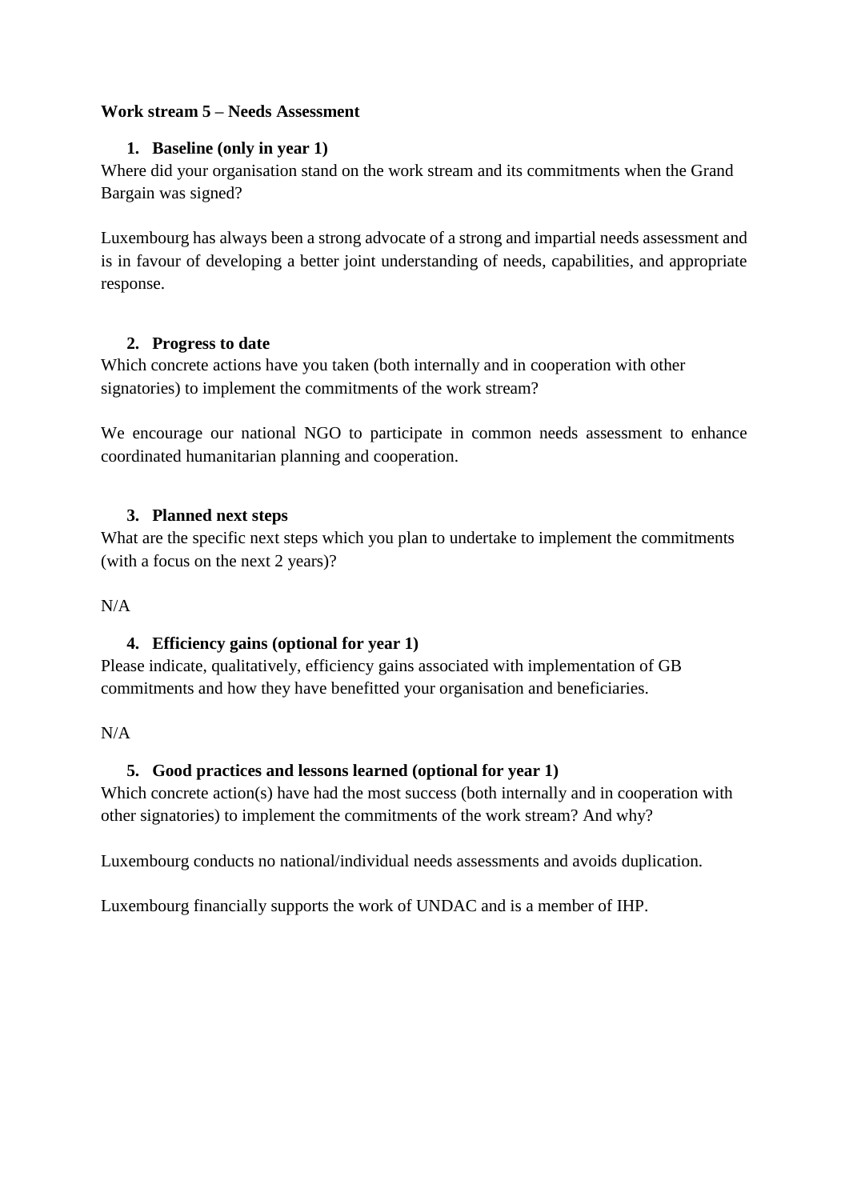#### <span id="page-8-1"></span><span id="page-8-0"></span>**Work stream 5 – Needs Assessment**

#### **1. Baseline (only in year 1)**

Where did your organisation stand on the work stream and its commitments when the Grand Bargain was signed?

Luxembourg has always been a strong advocate of a strong and impartial needs assessment and is in favour of developing a better joint understanding of needs, capabilities, and appropriate response.

#### <span id="page-8-2"></span>**2. Progress to date**

Which concrete actions have you taken (both internally and in cooperation with other signatories) to implement the commitments of the work stream?

We encourage our national NGO to participate in common needs assessment to enhance coordinated humanitarian planning and cooperation.

#### <span id="page-8-3"></span>**3. Planned next steps**

What are the specific next steps which you plan to undertake to implement the commitments (with a focus on the next 2 years)?

<span id="page-8-4"></span> $N/A$ 

#### **4. Efficiency gains (optional for year 1)**

Please indicate, qualitatively, efficiency gains associated with implementation of GB commitments and how they have benefitted your organisation and beneficiaries.

<span id="page-8-5"></span> $N/A$ 

#### **5. Good practices and lessons learned (optional for year 1)**

Which concrete action(s) have had the most success (both internally and in cooperation with other signatories) to implement the commitments of the work stream? And why?

Luxembourg conducts no national/individual needs assessments and avoids duplication.

Luxembourg financially supports the work of UNDAC and is a member of IHP.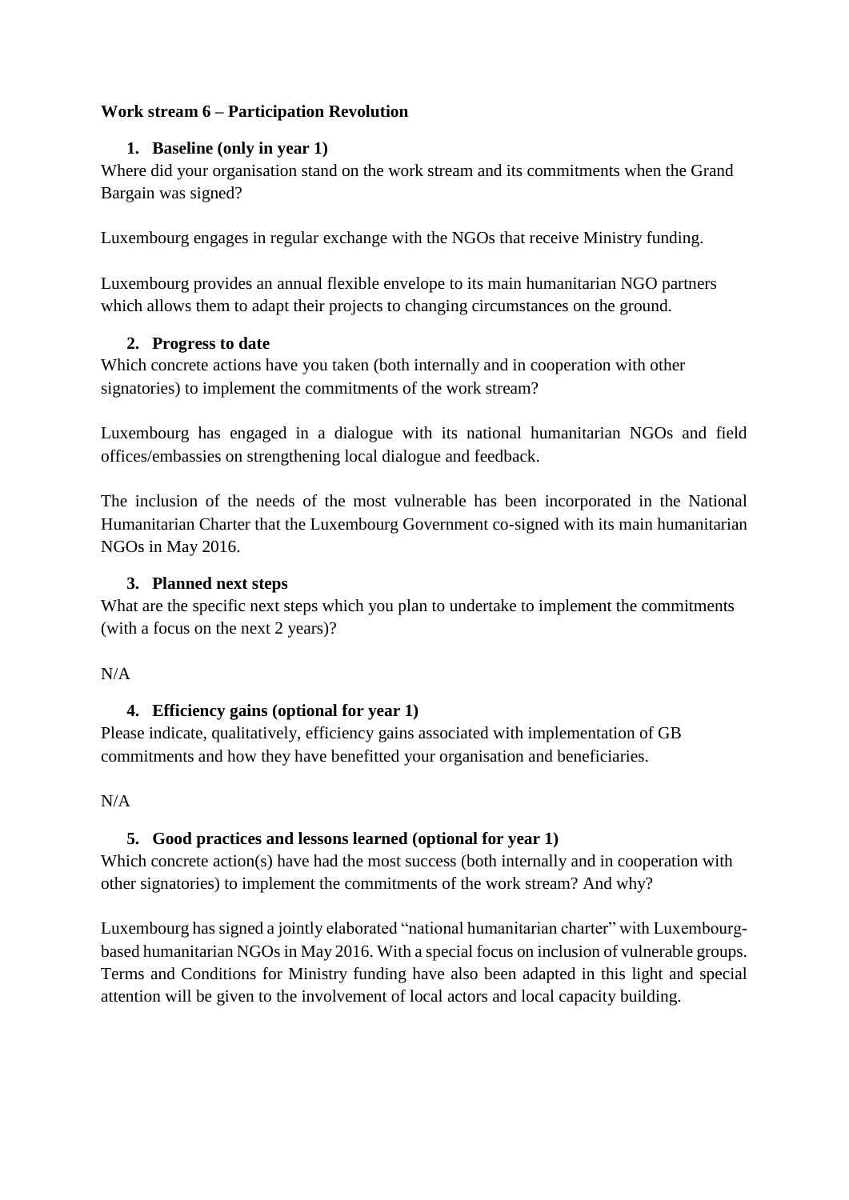#### <span id="page-9-1"></span><span id="page-9-0"></span>**Work stream 6 – Participation Revolution**

#### **1. Baseline (only in year 1)**

Where did your organisation stand on the work stream and its commitments when the Grand Bargain was signed?

Luxembourg engages in regular exchange with the NGOs that receive Ministry funding.

Luxembourg provides an annual flexible envelope to its main humanitarian NGO partners which allows them to adapt their projects to changing circumstances on the ground.

#### <span id="page-9-2"></span>**2. Progress to date**

Which concrete actions have you taken (both internally and in cooperation with other signatories) to implement the commitments of the work stream?

Luxembourg has engaged in a dialogue with its national humanitarian NGOs and field offices/embassies on strengthening local dialogue and feedback.

The inclusion of the needs of the most vulnerable has been incorporated in the National Humanitarian Charter that the Luxembourg Government co-signed with its main humanitarian NGOs in May 2016.

# <span id="page-9-3"></span>**3. Planned next steps**

What are the specific next steps which you plan to undertake to implement the commitments (with a focus on the next 2 years)?

#### <span id="page-9-4"></span> $N/A$

# **4. Efficiency gains (optional for year 1)**

Please indicate, qualitatively, efficiency gains associated with implementation of GB commitments and how they have benefitted your organisation and beneficiaries.

# <span id="page-9-5"></span> $N/A$

# **5. Good practices and lessons learned (optional for year 1)**

Which concrete action(s) have had the most success (both internally and in cooperation with other signatories) to implement the commitments of the work stream? And why?

Luxembourg has signed a jointly elaborated "national humanitarian charter" with Luxembourgbased humanitarian NGOs in May 2016. With a special focus on inclusion of vulnerable groups. Terms and Conditions for Ministry funding have also been adapted in this light and special attention will be given to the involvement of local actors and local capacity building.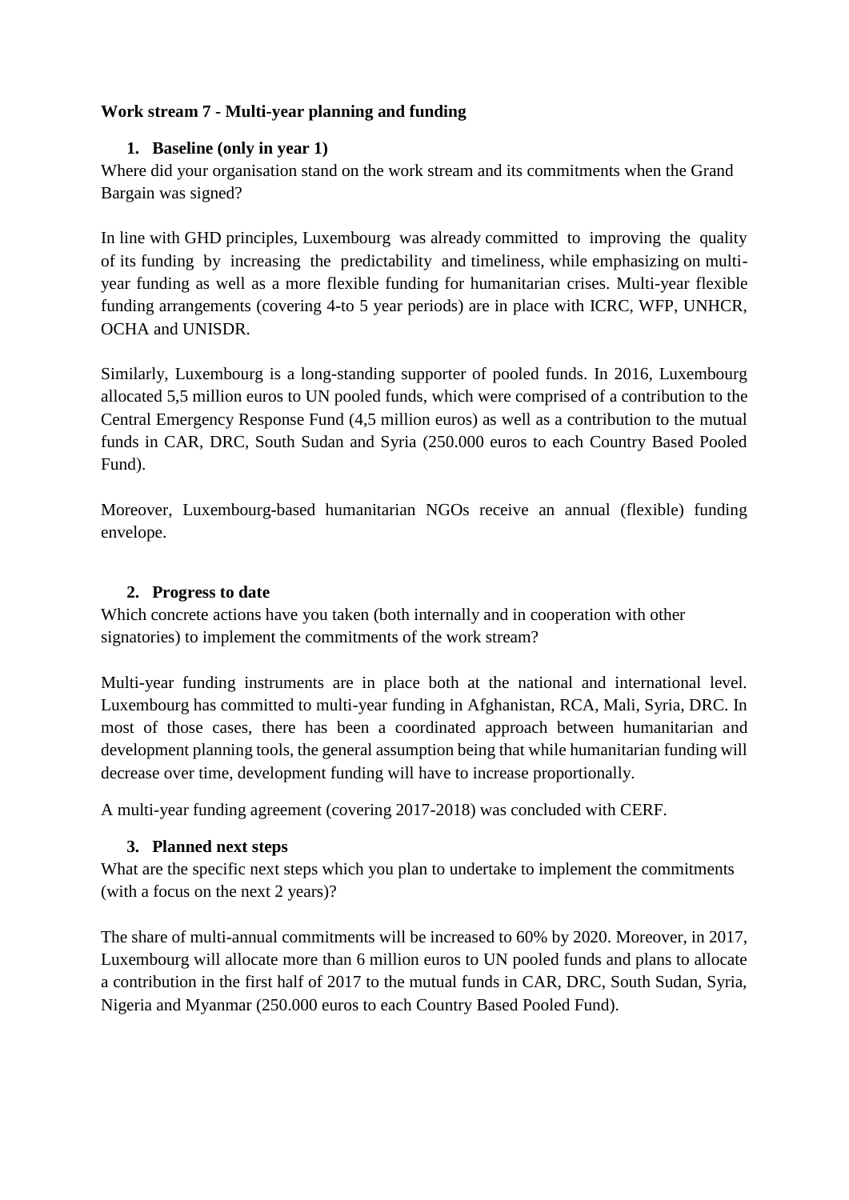## <span id="page-10-1"></span><span id="page-10-0"></span>**Work stream 7 - Multi-year planning and funding**

#### **1. Baseline (only in year 1)**

Where did your organisation stand on the work stream and its commitments when the Grand Bargain was signed?

In line with GHD principles, Luxembourg was already committed to improving the quality of its funding by increasing the predictability and timeliness, while emphasizing on multiyear funding as well as a more flexible funding for humanitarian crises. Multi-year flexible funding arrangements (covering 4-to 5 year periods) are in place with ICRC, WFP, UNHCR, OCHA and UNISDR.

Similarly, Luxembourg is a long-standing supporter of pooled funds. In 2016, Luxembourg allocated 5,5 million euros to UN pooled funds, which were comprised of a contribution to the Central Emergency Response Fund (4,5 million euros) as well as a contribution to the mutual funds in CAR, DRC, South Sudan and Syria (250.000 euros to each Country Based Pooled Fund).

Moreover, Luxembourg-based humanitarian NGOs receive an annual (flexible) funding envelope.

#### <span id="page-10-2"></span>**2. Progress to date**

Which concrete actions have you taken (both internally and in cooperation with other signatories) to implement the commitments of the work stream?

Multi-year funding instruments are in place both at the national and international level. Luxembourg has committed to multi-year funding in Afghanistan, RCA, Mali, Syria, DRC. In most of those cases, there has been a coordinated approach between humanitarian and development planning tools, the general assumption being that while humanitarian funding will decrease over time, development funding will have to increase proportionally.

A multi-year funding agreement (covering 2017-2018) was concluded with CERF.

# <span id="page-10-4"></span>**3. Planned next steps**

<span id="page-10-3"></span>What are the specific next steps which you plan to undertake to implement the commitments (with a focus on the next 2 years)?

The share of multi-annual commitments will be increased to 60% by 2020. Moreover, in 2017, Luxembourg will allocate more than 6 million euros to UN pooled funds and plans to allocate a contribution in the first half of 2017 to the mutual funds in CAR, DRC, South Sudan, Syria, Nigeria and Myanmar (250.000 euros to each Country Based Pooled Fund).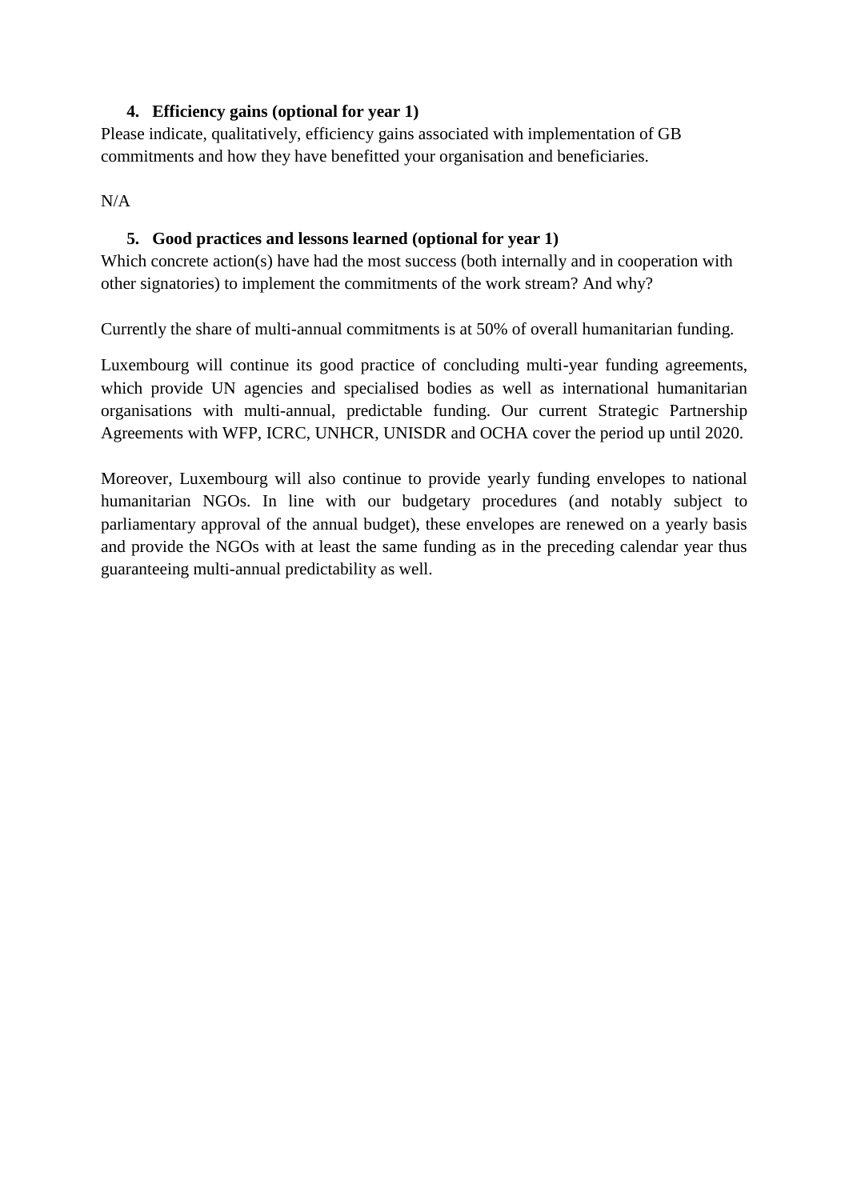#### **4. Efficiency gains (optional for year 1)**

Please indicate, qualitatively, efficiency gains associated with implementation of GB commitments and how they have benefitted your organisation and beneficiaries.

<span id="page-11-0"></span>N/A

#### **5. Good practices and lessons learned (optional for year 1)**

Which concrete action(s) have had the most success (both internally and in cooperation with other signatories) to implement the commitments of the work stream? And why?

Currently the share of multi-annual commitments is at 50% of overall humanitarian funding.

Luxembourg will continue its good practice of concluding multi-year funding agreements, which provide UN agencies and specialised bodies as well as international humanitarian organisations with multi-annual, predictable funding. Our current Strategic Partnership Agreements with WFP, ICRC, UNHCR, UNISDR and OCHA cover the period up until 2020.

Moreover, Luxembourg will also continue to provide yearly funding envelopes to national humanitarian NGOs. In line with our budgetary procedures (and notably subject to parliamentary approval of the annual budget), these envelopes are renewed on a yearly basis and provide the NGOs with at least the same funding as in the preceding calendar year thus guaranteeing multi-annual predictability as well.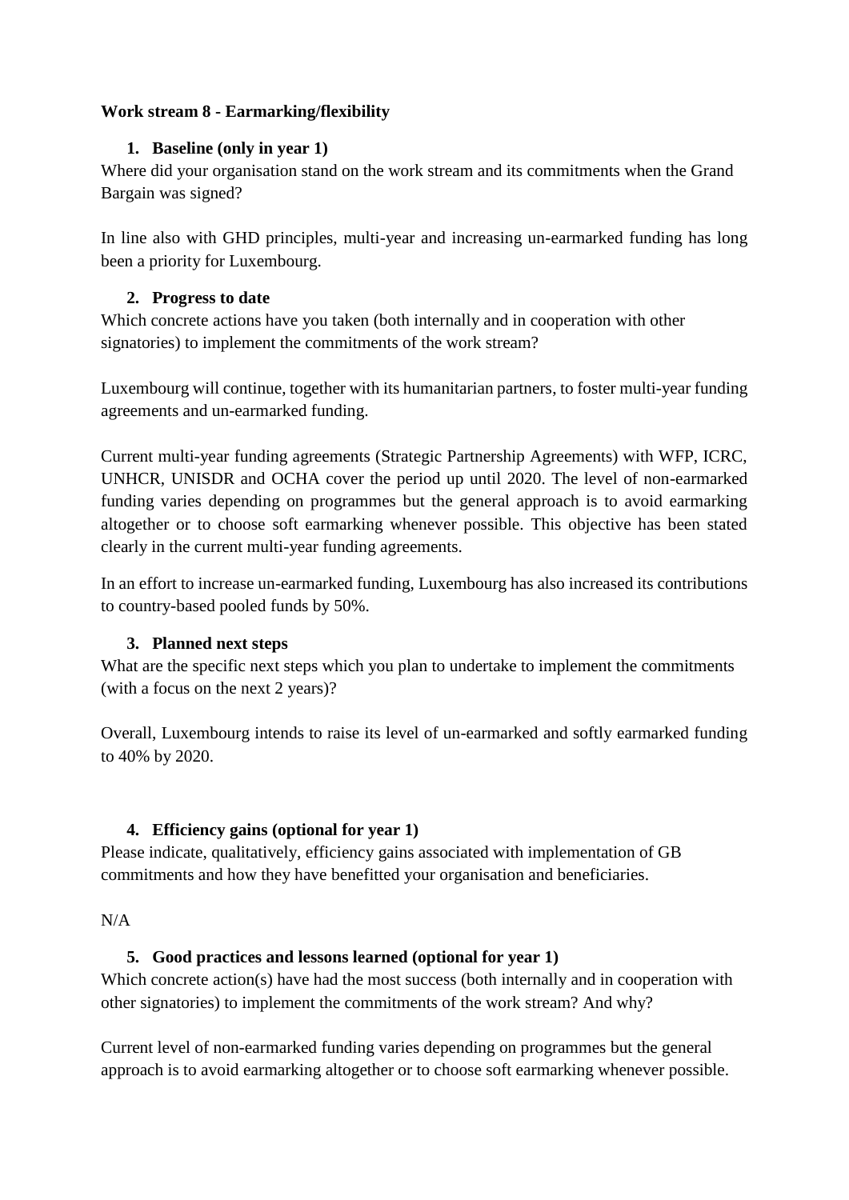## <span id="page-12-1"></span><span id="page-12-0"></span>**Work stream 8 - Earmarking/flexibility**

## **1. Baseline (only in year 1)**

Where did your organisation stand on the work stream and its commitments when the Grand Bargain was signed?

In line also with GHD principles, multi-year and increasing un-earmarked funding has long been a priority for Luxembourg.

## <span id="page-12-2"></span>**2. Progress to date**

Which concrete actions have you taken (both internally and in cooperation with other signatories) to implement the commitments of the work stream?

Luxembourg will continue, together with its humanitarian partners, to foster multi-year funding agreements and un-earmarked funding.

Current multi-year funding agreements (Strategic Partnership Agreements) with WFP, ICRC, UNHCR, UNISDR and OCHA cover the period up until 2020. The level of non-earmarked funding varies depending on programmes but the general approach is to avoid earmarking altogether or to choose soft earmarking whenever possible. This objective has been stated clearly in the current multi-year funding agreements.

In an effort to increase un-earmarked funding, Luxembourg has also increased its contributions to country-based pooled funds by 50%.

# <span id="page-12-3"></span>**3. Planned next steps**

What are the specific next steps which you plan to undertake to implement the commitments (with a focus on the next 2 years)?

Overall, Luxembourg intends to raise its level of un-earmarked and softly earmarked funding to 40% by 2020.

# <span id="page-12-4"></span>**4. Efficiency gains (optional for year 1)**

Please indicate, qualitatively, efficiency gains associated with implementation of GB commitments and how they have benefitted your organisation and beneficiaries.

<span id="page-12-5"></span>N/A

# **5. Good practices and lessons learned (optional for year 1)**

Which concrete action(s) have had the most success (both internally and in cooperation with other signatories) to implement the commitments of the work stream? And why?

Current level of non-earmarked funding varies depending on programmes but the general approach is to avoid earmarking altogether or to choose soft earmarking whenever possible.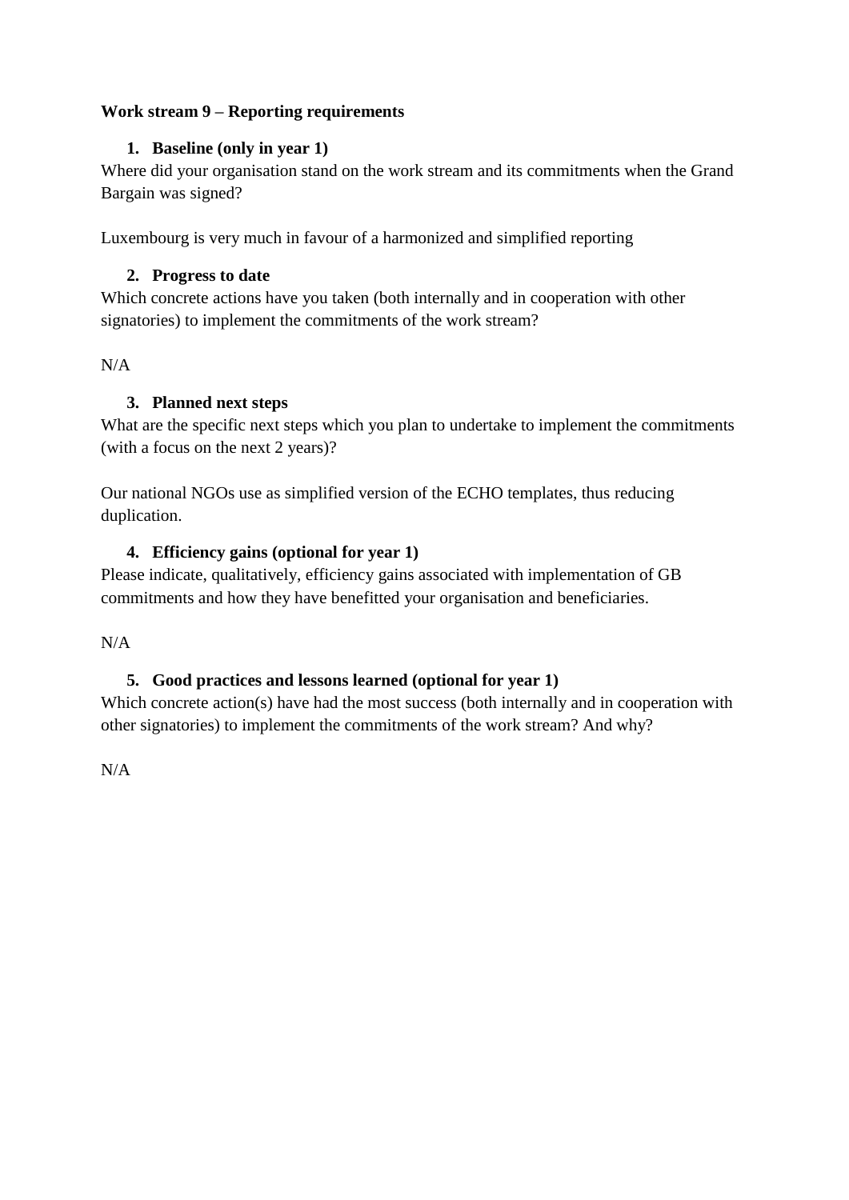## <span id="page-13-1"></span><span id="page-13-0"></span>**Work stream 9 – Reporting requirements**

#### **1. Baseline (only in year 1)**

Where did your organisation stand on the work stream and its commitments when the Grand Bargain was signed?

<span id="page-13-2"></span>Luxembourg is very much in favour of a harmonized and simplified reporting

#### **2. Progress to date**

Which concrete actions have you taken (both internally and in cooperation with other signatories) to implement the commitments of the work stream?

<span id="page-13-3"></span> $N/A$ 

# **3. Planned next steps**

What are the specific next steps which you plan to undertake to implement the commitments (with a focus on the next 2 years)?

Our national NGOs use as simplified version of the ECHO templates, thus reducing duplication.

#### <span id="page-13-4"></span>**4. Efficiency gains (optional for year 1)**

Please indicate, qualitatively, efficiency gains associated with implementation of GB commitments and how they have benefitted your organisation and beneficiaries.

<span id="page-13-5"></span> $N/A$ 

# **5. Good practices and lessons learned (optional for year 1)**

Which concrete action(s) have had the most success (both internally and in cooperation with other signatories) to implement the commitments of the work stream? And why?

N/A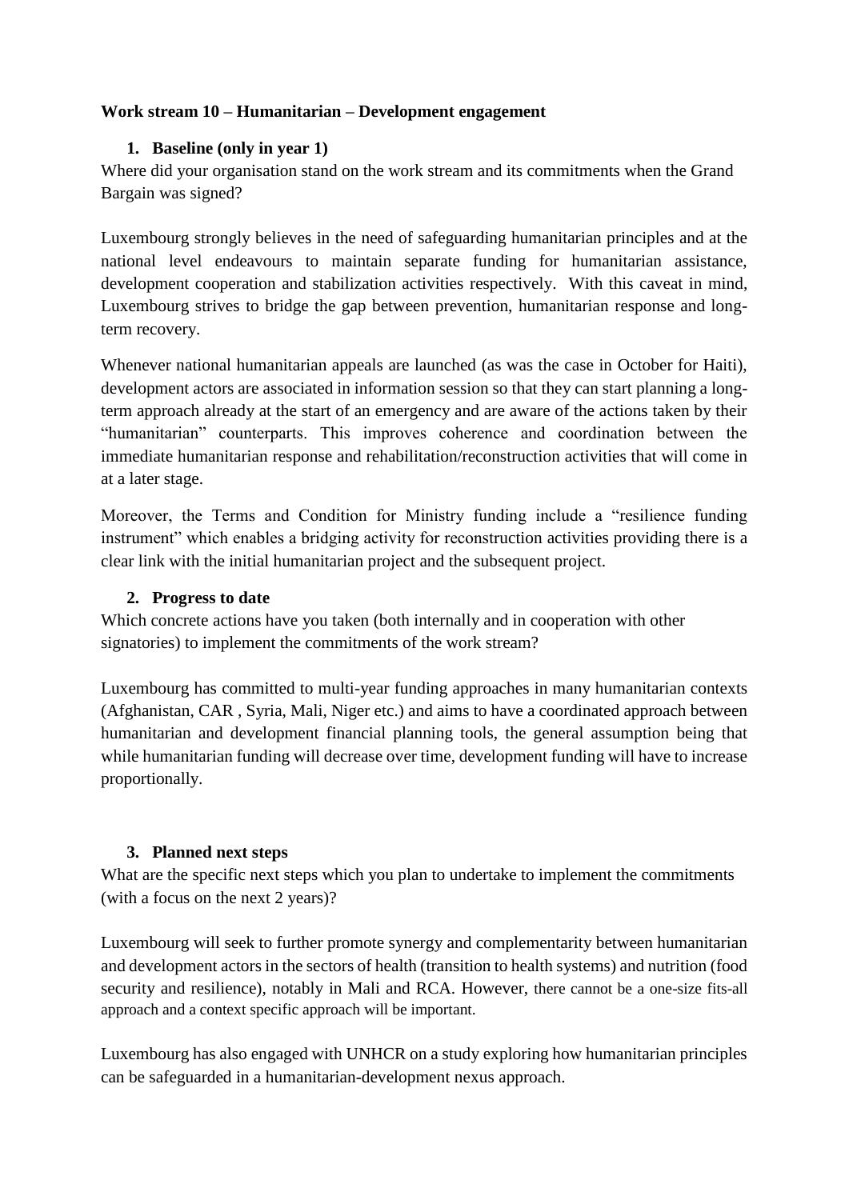#### <span id="page-14-1"></span><span id="page-14-0"></span>**Work stream 10 – Humanitarian – Development engagement**

#### **1. Baseline (only in year 1)**

Where did your organisation stand on the work stream and its commitments when the Grand Bargain was signed?

<span id="page-14-2"></span>Luxembourg strongly believes in the need of safeguarding humanitarian principles and at the national level endeavours to maintain separate funding for humanitarian assistance, development cooperation and stabilization activities respectively. With this caveat in mind, Luxembourg strives to bridge the gap between prevention, humanitarian response and longterm recovery.

Whenever national humanitarian appeals are launched (as was the case in October for Haiti), development actors are associated in information session so that they can start planning a longterm approach already at the start of an emergency and are aware of the actions taken by their "humanitarian" counterparts. This improves coherence and coordination between the immediate humanitarian response and rehabilitation/reconstruction activities that will come in at a later stage.

Moreover, the Terms and Condition for Ministry funding include a "resilience funding instrument" which enables a bridging activity for reconstruction activities providing there is a clear link with the initial humanitarian project and the subsequent project.

#### **2. Progress to date**

Which concrete actions have you taken (both internally and in cooperation with other signatories) to implement the commitments of the work stream?

Luxembourg has committed to multi-year funding approaches in many humanitarian contexts (Afghanistan, CAR , Syria, Mali, Niger etc.) and aims to have a coordinated approach between humanitarian and development financial planning tools, the general assumption being that while humanitarian funding will decrease over time, development funding will have to increase proportionally.

# **3. Planned next steps**

<span id="page-14-3"></span>What are the specific next steps which you plan to undertake to implement the commitments (with a focus on the next 2 years)?

Luxembourg will seek to further promote synergy and complementarity between humanitarian and development actors in the sectors of health (transition to health systems) and nutrition (food security and resilience), notably in Mali and RCA. However, there cannot be a one-size fits-all approach and a context specific approach will be important.

Luxembourg has also engaged with UNHCR on a study exploring how humanitarian principles can be safeguarded in a humanitarian-development nexus approach.